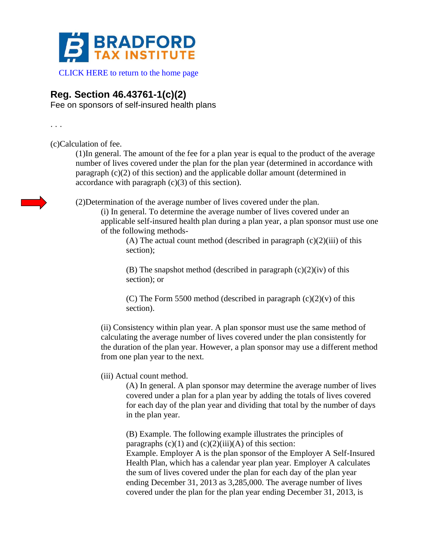

CLICK HERE to return to the home page

## **Reg. Section 46.43761-1(c)(2)**

Fee on sponsors of self-insured health plans

. . .

(c)Calculation of fee.

(1)In general. The amount of the fee for a plan year is equal to the product of the average number of lives covered under the plan for the plan year (determined in accordance with paragraph (c)(2) of this section) and the applicable dollar amount (determined in accordance with paragraph  $(c)(3)$  of this section).

(2)Determination of the average number of lives covered under the plan.

(i) In general. To determine the average number of lives covered under an applicable self-insured health plan during a plan year, a plan sponsor must use one of the following methods-

(A) The actual count method (described in paragraph  $(c)(2)(iii)$  of this section);

(B) The snapshot method (described in paragraph  $(c)(2)(iv)$  of this section); or

(C) The Form 5500 method (described in paragraph  $(c)(2)(v)$  of this section).

(ii) Consistency within plan year. A plan sponsor must use the same method of calculating the average number of lives covered under the plan consistently for the duration of the plan year. However, a plan sponsor may use a different method from one plan year to the next.

(iii) Actual count method.

(A) In general. A plan sponsor may determine the average number of lives covered under a plan for a plan year by adding the totals of lives covered for each day of the plan year and dividing that total by the number of days in the plan year.

(B) Example. The following example illustrates the principles of paragraphs  $(c)(1)$  and  $(c)(2)(iii)(A)$  of this section: Example. Employer A is the plan sponsor of the Employer A Self-Insured Health Plan, which has a calendar year plan year. Employer A calculates the sum of lives covered under the plan for each day of the plan year ending December 31, 2013 as 3,285,000. The average number of lives covered under the plan for the plan year ending December 31, 2013, is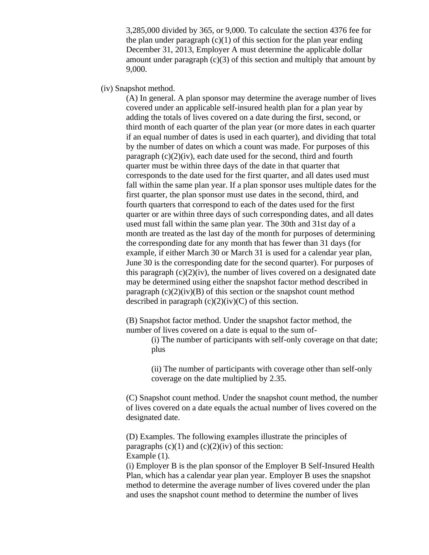3,285,000 divided by 365, or 9,000. To calculate the section 4376 fee for the plan under paragraph  $(c)(1)$  of this section for the plan year ending December 31, 2013, Employer A must determine the applicable dollar amount under paragraph  $(c)(3)$  of this section and multiply that amount by 9,000.

(iv) Snapshot method.

(A) In general. A plan sponsor may determine the average number of lives covered under an applicable self-insured health plan for a plan year by adding the totals of lives covered on a date during the first, second, or third month of each quarter of the plan year (or more dates in each quarter if an equal number of dates is used in each quarter), and dividing that total by the number of dates on which a count was made. For purposes of this paragraph  $(c)(2)(iv)$ , each date used for the second, third and fourth quarter must be within three days of the date in that quarter that corresponds to the date used for the first quarter, and all dates used must fall within the same plan year. If a plan sponsor uses multiple dates for the first quarter, the plan sponsor must use dates in the second, third, and fourth quarters that correspond to each of the dates used for the first quarter or are within three days of such corresponding dates, and all dates used must fall within the same plan year. The 30th and 31st day of a month are treated as the last day of the month for purposes of determining the corresponding date for any month that has fewer than 31 days (for example, if either March 30 or March 31 is used for a calendar year plan, June 30 is the corresponding date for the second quarter). For purposes of this paragraph  $(c)(2)(iv)$ , the number of lives covered on a designated date may be determined using either the snapshot factor method described in paragraph  $(c)(2)(iv)(B)$  of this section or the snapshot count method described in paragraph  $(c)(2)(iv)(C)$  of this section.

(B) Snapshot factor method. Under the snapshot factor method, the number of lives covered on a date is equal to the sum of-

> (i) The number of participants with self-only coverage on that date; plus

(ii) The number of participants with coverage other than self-only coverage on the date multiplied by 2.35.

(C) Snapshot count method. Under the snapshot count method, the number of lives covered on a date equals the actual number of lives covered on the designated date.

(D) Examples. The following examples illustrate the principles of paragraphs  $(c)(1)$  and  $(c)(2)(iv)$  of this section: Example  $(1)$ .

(i) Employer B is the plan sponsor of the Employer B Self-Insured Health Plan, which has a calendar year plan year. Employer B uses the snapshot method to determine the average number of lives covered under the plan and uses the snapshot count method to determine the number of lives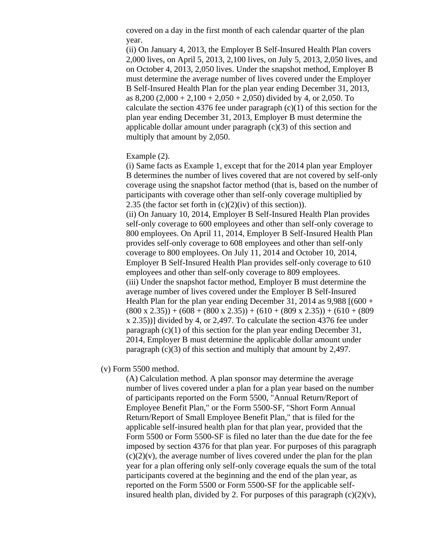covered on a day in the first month of each calendar quarter of the plan year.

(ii) On January 4, 2013, the Employer B Self-Insured Health Plan covers 2,000 lives, on April 5, 2013, 2,100 lives, on July 5, 2013, 2,050 lives, and on October 4, 2013, 2,050 lives. Under the snapshot method, Employer B must determine the average number of lives covered under the Employer B Self-Insured Health Plan for the plan year ending December 31, 2013, as  $8,200 (2,000 + 2,100 + 2,050 + 2,050)$  divided by 4, or 2,050. To calculate the section 4376 fee under paragraph  $(c)(1)$  of this section for the plan year ending December 31, 2013, Employer B must determine the applicable dollar amount under paragraph  $(c)(3)$  of this section and multiply that amount by 2,050.

## Example (2).

(i) Same facts as Example 1, except that for the 2014 plan year Employer B determines the number of lives covered that are not covered by self-only coverage using the snapshot factor method (that is, based on the number of participants with coverage other than self-only coverage multiplied by 2.35 (the factor set forth in  $(c)(2)(iv)$  of this section)).

(ii) On January 10, 2014, Employer B Self-Insured Health Plan provides self-only coverage to 600 employees and other than self-only coverage to 800 employees. On April 11, 2014, Employer B Self-Insured Health Plan provides self-only coverage to 608 employees and other than self-only coverage to 800 employees. On July 11, 2014 and October 10, 2014, Employer B Self-Insured Health Plan provides self-only coverage to 610 employees and other than self-only coverage to 809 employees. (iii) Under the snapshot factor method, Employer B must determine the average number of lives covered under the Employer B Self-Insured Health Plan for the plan year ending December 31, 2014 as  $9,988$  [(600 +  $(800 \times 2.35) + (608 + (800 \times 2.35)) + (610 + (809 \times 2.35)) + (610 + (809$ x 2.35))] divided by 4, or 2,497. To calculate the section 4376 fee under paragraph (c)(1) of this section for the plan year ending December 31, 2014, Employer B must determine the applicable dollar amount under paragraph (c)(3) of this section and multiply that amount by 2,497.

## (v) Form 5500 method.

(A) Calculation method. A plan sponsor may determine the average number of lives covered under a plan for a plan year based on the number of participants reported on the Form 5500, "Annual Return/Report of Employee Benefit Plan," or the Form 5500-SF, "Short Form Annual Return/Report of Small Employee Benefit Plan," that is filed for the applicable self-insured health plan for that plan year, provided that the Form 5500 or Form 5500-SF is filed no later than the due date for the fee imposed by section 4376 for that plan year. For purposes of this paragraph  $(c)(2)(v)$ , the average number of lives covered under the plan for the plan year for a plan offering only self-only coverage equals the sum of the total participants covered at the beginning and the end of the plan year, as reported on the Form 5500 or Form 5500-SF for the applicable selfinsured health plan, divided by 2. For purposes of this paragraph  $(c)(2)(v)$ ,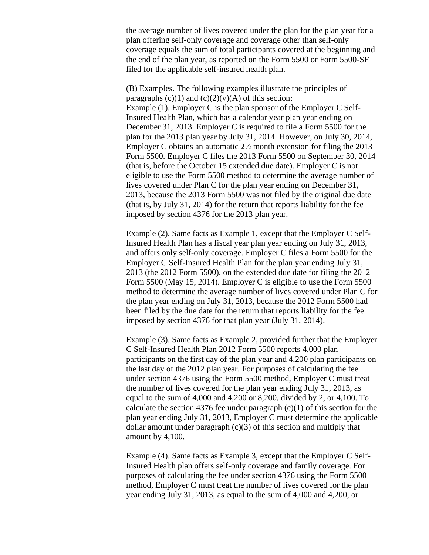the average number of lives covered under the plan for the plan year for a plan offering self-only coverage and coverage other than self-only coverage equals the sum of total participants covered at the beginning and the end of the plan year, as reported on the Form 5500 or Form 5500-SF filed for the applicable self-insured health plan.

(B) Examples. The following examples illustrate the principles of paragraphs  $(c)(1)$  and  $(c)(2)(v)(A)$  of this section: Example (1). Employer C is the plan sponsor of the Employer C Self-Insured Health Plan, which has a calendar year plan year ending on December 31, 2013. Employer C is required to file a Form 5500 for the plan for the 2013 plan year by July 31, 2014. However, on July 30, 2014, Employer C obtains an automatic 2½ month extension for filing the 2013 Form 5500. Employer C files the 2013 Form 5500 on September 30, 2014 (that is, before the October 15 extended due date). Employer C is not eligible to use the Form 5500 method to determine the average number of lives covered under Plan C for the plan year ending on December 31, 2013, because the 2013 Form 5500 was not filed by the original due date (that is, by July 31, 2014) for the return that reports liability for the fee imposed by section 4376 for the 2013 plan year.

Example (2). Same facts as Example 1, except that the Employer C Self-Insured Health Plan has a fiscal year plan year ending on July 31, 2013, and offers only self-only coverage. Employer C files a Form 5500 for the Employer C Self-Insured Health Plan for the plan year ending July 31, 2013 (the 2012 Form 5500), on the extended due date for filing the 2012 Form 5500 (May 15, 2014). Employer C is eligible to use the Form 5500 method to determine the average number of lives covered under Plan C for the plan year ending on July 31, 2013, because the 2012 Form 5500 had been filed by the due date for the return that reports liability for the fee imposed by section 4376 for that plan year (July 31, 2014).

Example (3). Same facts as Example 2, provided further that the Employer C Self-Insured Health Plan 2012 Form 5500 reports 4,000 plan participants on the first day of the plan year and 4,200 plan participants on the last day of the 2012 plan year. For purposes of calculating the fee under section 4376 using the Form 5500 method, Employer C must treat the number of lives covered for the plan year ending July 31, 2013, as equal to the sum of 4,000 and 4,200 or 8,200, divided by 2, or 4,100. To calculate the section 4376 fee under paragraph  $(c)(1)$  of this section for the plan year ending July 31, 2013, Employer C must determine the applicable dollar amount under paragraph  $(c)(3)$  of this section and multiply that amount by 4,100.

Example (4). Same facts as Example 3, except that the Employer C Self-Insured Health plan offers self-only coverage and family coverage. For purposes of calculating the fee under section 4376 using the Form 5500 method, Employer C must treat the number of lives covered for the plan year ending July 31, 2013, as equal to the sum of 4,000 and 4,200, or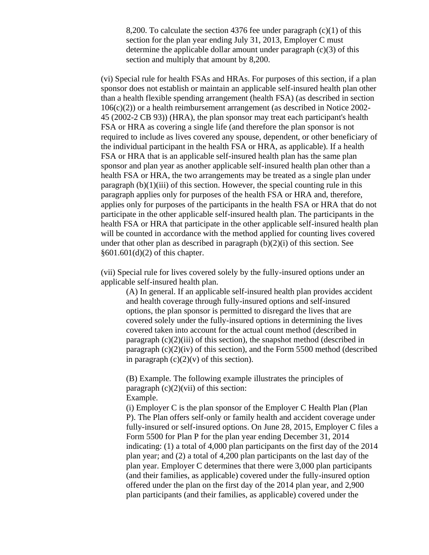8,200. To calculate the section 4376 fee under paragraph (c)(1) of this section for the plan year ending July 31, 2013, Employer C must determine the applicable dollar amount under paragraph  $(c)(3)$  of this section and multiply that amount by 8,200.

(vi) Special rule for health FSAs and HRAs. For purposes of this section, if a plan sponsor does not establish or maintain an applicable self-insured health plan other than a health flexible spending arrangement (health FSA) (as described in section 106(c)(2)) or a health reimbursement arrangement (as described in Notice 2002- 45 (2002-2 CB 93)) (HRA), the plan sponsor may treat each participant's health FSA or HRA as covering a single life (and therefore the plan sponsor is not required to include as lives covered any spouse, dependent, or other beneficiary of the individual participant in the health FSA or HRA, as applicable). If a health FSA or HRA that is an applicable self-insured health plan has the same plan sponsor and plan year as another applicable self-insured health plan other than a health FSA or HRA, the two arrangements may be treated as a single plan under paragraph  $(b)(1)(iii)$  of this section. However, the special counting rule in this paragraph applies only for purposes of the health FSA or HRA and, therefore, applies only for purposes of the participants in the health FSA or HRA that do not participate in the other applicable self-insured health plan. The participants in the health FSA or HRA that participate in the other applicable self-insured health plan will be counted in accordance with the method applied for counting lives covered under that other plan as described in paragraph  $(b)(2)(i)$  of this section. See §601.601(d)(2) of this chapter.

(vii) Special rule for lives covered solely by the fully-insured options under an applicable self-insured health plan.

(A) In general. If an applicable self-insured health plan provides accident and health coverage through fully-insured options and self-insured options, the plan sponsor is permitted to disregard the lives that are covered solely under the fully-insured options in determining the lives covered taken into account for the actual count method (described in paragraph  $(c)(2)(iii)$  of this section), the snapshot method (described in paragraph  $(c)(2)(iv)$  of this section), and the Form 5500 method (described in paragraph  $(c)(2)(v)$  of this section).

(B) Example. The following example illustrates the principles of paragraph  $(c)(2)(\n \n *v*ii)$  of this section: Example.

(i) Employer C is the plan sponsor of the Employer C Health Plan (Plan P). The Plan offers self-only or family health and accident coverage under fully-insured or self-insured options. On June 28, 2015, Employer C files a Form 5500 for Plan P for the plan year ending December 31, 2014 indicating: (1) a total of 4,000 plan participants on the first day of the 2014 plan year; and (2) a total of 4,200 plan participants on the last day of the plan year. Employer C determines that there were 3,000 plan participants (and their families, as applicable) covered under the fully-insured option offered under the plan on the first day of the 2014 plan year, and 2,900 plan participants (and their families, as applicable) covered under the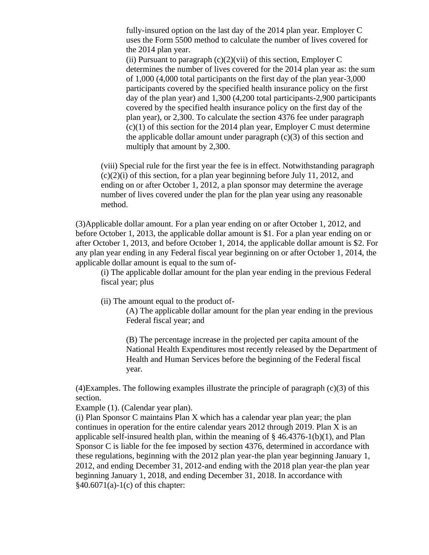fully-insured option on the last day of the 2014 plan year. Employer C uses the Form 5500 method to calculate the number of lives covered for the 2014 plan year.

(ii) Pursuant to paragraph  $(c)(2)(\n{\text{vii}})$  of this section, Employer C determines the number of lives covered for the 2014 plan year as: the sum of 1,000 (4,000 total participants on the first day of the plan year-3,000 participants covered by the specified health insurance policy on the first day of the plan year) and 1,300 (4,200 total participants-2,900 participants covered by the specified health insurance policy on the first day of the plan year), or 2,300. To calculate the section 4376 fee under paragraph (c)(1) of this section for the 2014 plan year, Employer C must determine the applicable dollar amount under paragraph  $(c)(3)$  of this section and multiply that amount by 2,300.

(viii) Special rule for the first year the fee is in effect. Notwithstanding paragraph  $(c)(2)(i)$  of this section, for a plan year beginning before July 11, 2012, and ending on or after October 1, 2012, a plan sponsor may determine the average number of lives covered under the plan for the plan year using any reasonable method.

(3)Applicable dollar amount. For a plan year ending on or after October 1, 2012, and before October 1, 2013, the applicable dollar amount is \$1. For a plan year ending on or after October 1, 2013, and before October 1, 2014, the applicable dollar amount is \$2. For any plan year ending in any Federal fiscal year beginning on or after October 1, 2014, the applicable dollar amount is equal to the sum of-

(i) The applicable dollar amount for the plan year ending in the previous Federal fiscal year; plus

(ii) The amount equal to the product of-

(A) The applicable dollar amount for the plan year ending in the previous Federal fiscal year; and

(B) The percentage increase in the projected per capita amount of the National Health Expenditures most recently released by the Department of Health and Human Services before the beginning of the Federal fiscal year.

 $(4)$ Examples. The following examples illustrate the principle of paragraph  $(c)(3)$  of this section.

Example (1). (Calendar year plan).

(i) Plan Sponsor C maintains Plan X which has a calendar year plan year; the plan continues in operation for the entire calendar years 2012 through 2019. Plan X is an applicable self-insured health plan, within the meaning of  $\S$  46.4376-1(b)(1), and Plan Sponsor C is liable for the fee imposed by section 4376, determined in accordance with these regulations, beginning with the 2012 plan year-the plan year beginning January 1, 2012, and ending December 31, 2012-and ending with the 2018 plan year-the plan year beginning January 1, 2018, and ending December 31, 2018. In accordance with  $§40.6071(a)-1(c)$  of this chapter: